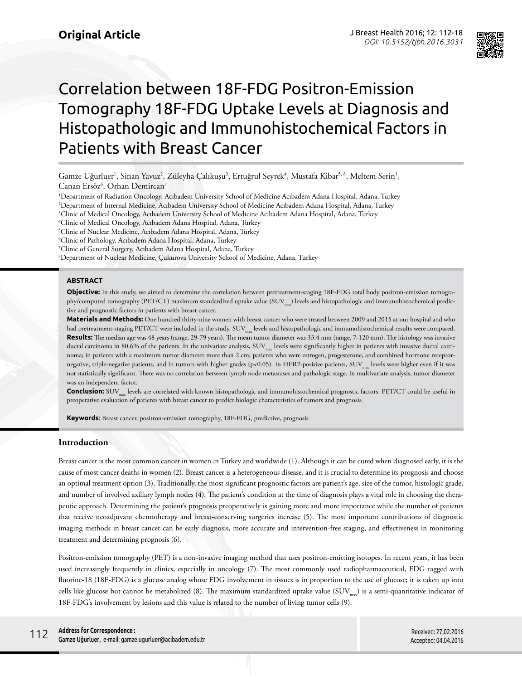

# Correlation between 18F-FDG Positron-Emission Tomography 18F-FDG Uptake Levels at Diagnosis and Histopathologic and Immunohistochemical Factors in Patients with Breast Cancer

Gamze Uğurluer<sup>ı</sup>, Sinan Yavuz<sup>2</sup>, Züleyha Çalıkuşu<sup>3</sup>, Ertuğrul Seyrek<sup>4</sup>, Mustafa Kibar<sup>5, 8</sup>, Meltem Serin<sup>ı</sup>, Canan Ersöz<sup>6</sup>, Orhan Demircan<sup>7</sup>

1 Department of Radiation Oncology, Acıbadem University School of Medicine Acıbadem Adana Hospital, Adana, Turkey

2 Department of Internal Medicine, Acıbadem University School of Medicine Acıbadem Adana Hospital, Adana, Turkey

3 Clinic of Medical Oncology, Acıbadem University School of Medicine Acıbadem Adana Hospital, Adana, Turkey

4 Clinic of Medical Oncology, Acıbadem Adana Hospital, Adana, Turkey

5 Clinic of Nuclear Medicine, Acıbadem Adana Hospital, Adana, Turkey

6 Clinic of Pathology, Acıbadem Adana Hospital, Adana, Turkey

7 Clinic of General Surgery, Acıbadem Adana Hospital, Adana, Turkey

8 Department of Nuclear Medicine, Çukurova University School of Medicine, Adana, Turkey

#### **ABSTRACT**

**Objective:** In this study, we aimed to determine the correlation between pretreatment-staging 18F-FDG total body positron-emission tomography/computed tomography (PET/CT) maximum standardized uptake value (SUV<sub>max</sub>) levels and histopathologic and immunohistochemical predictive and prognostic factors in patients with breast cancer.

**Materials and Methods:** One hundred thirty-nine women with breast cancer who were treated between 2009 and 2015 at our hospital and who had pretreatment-staging PET/CT were included in the study. SUV<sub>max</sub> levels and histopathologic and immunohistochemical results were compared. **Results:** The median age was 48 years (range, 29-79 years). The mean tumor diameter was 33.4 mm (range, 7-120 mm). The histology was invasive ductal carcinoma in 80.6% of the patients. In the univariate analysis,  $SUV_{\text{max}}$  levels were significantly higher in patients with invasive ductal carcinoma; in patients with a maximum tumor diameter more than 2 cm; patients who were estrogen, progesterone, and combined hormone receptornegative, triple-negative patients, and in tumors with higher grades (p<0.05). In HER2-positive patients, SUV<sub>m</sub> levels were higher even if it was not statistically significant. There was no correlation between lymph node metastases and pathologic stage. In multivariate analysis, tumor diameter was an independent factor.

**Conclusion:** SUV<sub>max</sub> levels are correlated with known histopathologic and immunohistochemical prognostic factors. PET/CT could be useful in preoperative evaluation of patients with breast cancer to predict biologic characteristics of tumors and prognosis.

**Keywords**: Breast cancer, positron-emission tomography, 18F-FDG, predictive, prognosis

### **Introduction**

Breast cancer is the most common cancer in women in Turkey and worldwide (1). Although it can be cured when diagnosed early, it is the cause of most cancer deaths in women (2)*.* Breast cancer is a heterogeneous disease, and it is crucial to determine its prognosis and choose an optimal treatment option (3). Traditionally, the most significant prognostic factors are patient's age, size of the tumor, histologic grade, and number of involved axillary lymph nodes (4). The patient's condition at the time of diagnosis plays a vital role in choosing the therapeutic approach. Determining the patient's prognosis preoperatively is gaining more and more importance while the number of patients that receive neoadjuvant chemotherapy and breast-conserving surgeries increase (5). The most important contributions of diagnostic imaging methods in breast cancer can be early diagnosis, more accurate and intervention-free staging, and effectiveness in monitoring treatment and determining prognosis (6).

Positron-emission tomography (PET) is a non-invasive imaging method that uses positron-emitting isotopes. In recent years, it has been used increasingly frequently in clinics, especially in oncology (7). The most commonly used radiopharmaceutical, FDG tagged with fluorine-18 (18F-FDG) is a glucose analog whose FDG involvement in tissues is in proportion to the use of glucose; it is taken up into cells like glucose but cannot be metabolized (8). The maximum standardized uptake value (SUV<sub>max</sub>) is a semi-quantitative indicator of 18F-FDG's involvement by lesions and this value is related to the number of living tumor cells (9).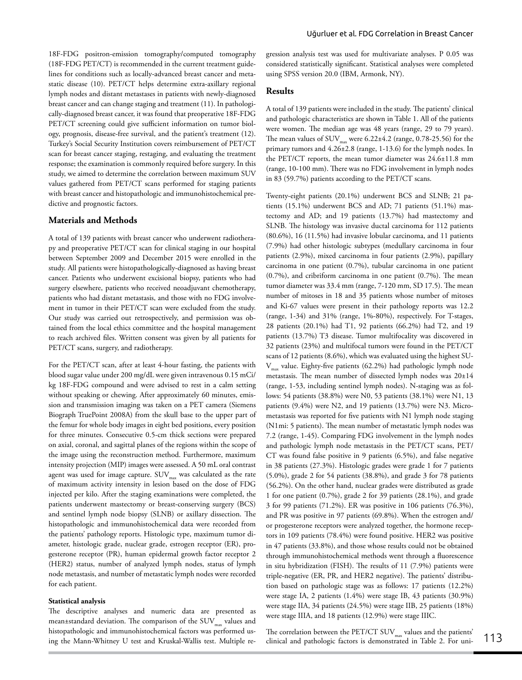18F-FDG positron-emission tomography/computed tomography (18F-FDG PET/CT) is recommended in the current treatment guidelines for conditions such as locally-advanced breast cancer and metastatic disease (10). PET/CT helps determine extra-axillary regional lymph nodes and distant metastases in patients with newly-diagnosed breast cancer and can change staging and treatment (11). In pathologically-diagnosed breast cancer, it was found that preoperative 18F-FDG PET/CT screening could give sufficient information on tumor biology, prognosis, disease-free survival, and the patient's treatment (12). Turkey's Social Security Institution covers reimbursement of PET/CT scan for breast cancer staging, restaging, and evaluating the treatment response; the examination is commonly required before surgery. In this study, we aimed to determine the correlation between maximum SUV values gathered from PET/CT scans performed for staging patients with breast cancer and histopathologic and immunohistochemical predictive and prognostic factors.

## **Materials and Methods**

A total of 139 patients with breast cancer who underwent radiotherapy and preoperative PET/CT scan for clinical staging in our hospital between September 2009 and December 2015 were enrolled in the study. All patients were histopathologically-diagnosed as having breast cancer. Patients who underwent excisional biopsy, patients who had surgery elsewhere, patients who received neoadjuvant chemotherapy, patients who had distant metastasis, and those with no FDG involvement in tumor in their PET/CT scan were excluded from the study. Our study was carried out retrospectively, and permission was obtained from the local ethics committee and the hospital management to reach archived files. Written consent was given by all patients for PET/CT scans, surgery, and radiotherapy.

For the PET/CT scan, after at least 4-hour fasting, the patients with blood sugar value under 200 mg/dL were given intravenous 0.15 mCi/ kg 18F-FDG compound and were advised to rest in a calm setting without speaking or chewing. After approximately 60 minutes, emission and transmission imaging was taken on a PET camera (Siemens Biograph TruePoint 2008A) from the skull base to the upper part of the femur for whole body images in eight bed positions, every position for three minutes. Consecutive 0.5-cm thick sections were prepared on axial, coronal, and sagittal planes of the regions within the scope of the image using the reconstruction method. Furthermore, maximum intensity projection (MIP) images were assessed. A 50 mL oral contrast agent was used for image capture.  $\text{SUV}_{\text{max}}$  was calculated as the rate of maximum activity intensity in lesion based on the dose of FDG injected per kilo. After the staging examinations were completed, the patients underwent mastectomy or breast-conserving surgery (BCS) and sentinel lymph node biopsy (SLNB) or axillary dissection. The histopathologic and immunohistochemical data were recorded from the patients' pathology reports. Histologic type, maximum tumor diameter, histologic grade, nuclear grade, estrogen receptor (ER), progesterone receptor (PR), human epidermal growth factor receptor 2 (HER2) status, number of analyzed lymph nodes, status of lymph node metastasis, and number of metastatic lymph nodes were recorded for each patient.

#### **Statistical analysis**

The descriptive analyses and numeric data are presented as mean±standard deviation. The comparison of the  $\text{SUV}_{\text{max}}$  values and histopathologic and immunohistochemical factors was performed using the Mann-Whitney U test and Kruskal-Wallis test. Multiple regression analysis test was used for multivariate analyses. P 0.05 was considered statistically significant. Statistical analyses were completed using SPSS version 20.0 (IBM, Armonk, NY).

#### **Results**

A total of 139 patients were included in the study. The patients' clinical and pathologic characteristics are shown in Table 1. All of the patients were women. The median age was 48 years (range, 29 to 79 years). The mean values of  $\text{SUV}_{\text{max}}$  were 6.22±4.2 (range, 0.78-25.56) for the primary tumors and 4.26±2.8 (range, 1-13.6) for the lymph nodes. In the PET/CT reports, the mean tumor diameter was 24.6±11.8 mm (range, 10-100 mm). There was no FDG involvement in lymph nodes in 83 (59.7%) patients according to the PET/CT scans.

Twenty-eight patients (20.1%) underwent BCS and SLNB; 21 patients (15.1%) underwent BCS and AD; 71 patients (51.1%) mastectomy and AD; and 19 patients (13.7%) had mastectomy and SLNB. The histology was invasive ductal carcinoma for 112 patients (80.6%), 16 (11.5%) had invasive lobular carcinoma, and 11 patients (7.9%) had other histologic subtypes (medullary carcinoma in four patients (2.9%), mixed carcinoma in four patients (2.9%), papillary carcinoma in one patient (0.7%), tubular carcinoma in one patient (0.7%), and cribriform carcinoma in one patient (0.7%). The mean tumor diameter was 33.4 mm (range, 7-120 mm, SD 17.5). The mean number of mitoses in 18 and 35 patients whose number of mitoses and Ki-67 values were present in their pathology reports was 12.2 (range, 1-34) and 31% (range, 1%-80%), respectively. For T-stages, 28 patients (20.1%) had T1, 92 patients (66.2%) had T2, and 19 patients (13.7%) T3 disease. Tumor multifocality was discovered in 32 patients (23%) and multifocal tumors were found in the PET/CT scans of 12 patients (8.6%), which was evaluated using the highest SU- $V_{\text{max}}$  value. Eighty-five patients (62.2%) had pathologic lymph node metastasis. The mean number of dissected lymph nodes was 20±14 (range, 1-53, including sentinel lymph nodes). N-staging was as follows: 54 patients (38.8%) were N0, 53 patients (38.1%) were N1, 13 patients (9.4%) were N2, and 19 patients (13.7%) were N3. Micrometastasis was reported for five patients with N1 lymph node staging (N1mi: 5 patients). The mean number of metastatic lymph nodes was 7.2 (range, 1-45). Comparing FDG involvement in the lymph nodes and pathologic lymph node metastasis in the PET/CT scans, PET/ CT was found false positive in 9 patients (6.5%), and false negative in 38 patients (27.3%). Histologic grades were grade 1 for 7 patients (5.0%), grade 2 for 54 patients (38.8%), and grade 3 for 78 patients (56.2%). On the other hand, nuclear grades were distributed as grade 1 for one patient (0.7%), grade 2 for 39 patients (28.1%), and grade 3 for 99 patients (71.2%). ER was positive in 106 patients (76.3%), and PR was positive in 97 patients (69.8%). When the estrogen and/ or progesterone receptors were analyzed together, the hormone receptors in 109 patients (78.4%) were found positive. HER2 was positive in 47 patients (33.8%), and those whose results could not be obtained through immunohistochemical methods went through a fluorescence in situ hybridization (FISH). The results of 11 (7.9%) patients were triple-negative (ER, PR, and HER2 negative). The patients' distribution based on pathologic stage was as follows: 17 patients (12.2%) were stage IA, 2 patients (1.4%) were stage IB, 43 patients (30.9%) were stage IIA, 34 patients (24.5%) were stage IIB, 25 patients (18%) were stage IIIA, and 18 patients (12.9%) were stage IIIC.

The correlation between the PET/CT  $\text{SUV}_{\text{max}}$  values and the patients' clinical and pathologic factors is demonstrated in Table 2. For uni-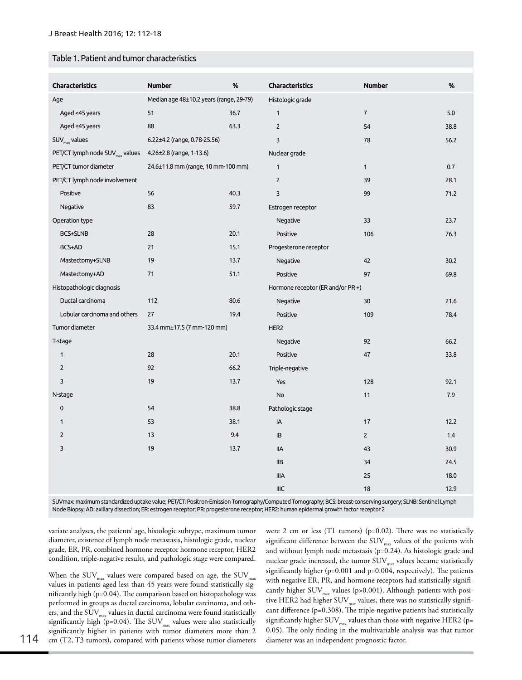#### Table 1. Patient and tumor characteristics

| <b>Characteristics</b>                      | <b>Number</b>                           | %    | Characteristics                   | <b>Number</b>  | %    |
|---------------------------------------------|-----------------------------------------|------|-----------------------------------|----------------|------|
| Age                                         | Median age 48±10.2 years (range, 29-79) |      | Histologic grade                  |                |      |
| Aged <45 years                              | 51                                      | 36.7 | $\mathbf{1}$                      | $\overline{7}$ | 5.0  |
| Aged ≥45 years                              | 88                                      | 63.3 | $\overline{2}$                    | 54             | 38.8 |
| $SUV_{\text{max}}$ values                   | 6.22±4.2 (range, 0.78-25.56)            |      | 3                                 | 78             | 56.2 |
| PET/CT lymph node SUV <sub>max</sub> values | 4.26±2.8 (range, 1-13.6)                |      | Nuclear grade                     |                |      |
| PET/CT tumor diameter                       | 24.6±11.8 mm (range, 10 mm-100 mm)      |      | $\mathbf{1}$                      | $\mathbf{1}$   | 0.7  |
| PET/CT lymph node involvement               |                                         |      | $\overline{2}$                    | 39             | 28.1 |
| Positive                                    | 56                                      | 40.3 | $\overline{3}$                    | 99             | 71.2 |
| Negative                                    | 83                                      | 59.7 | Estrogen receptor                 |                |      |
| Operation type                              |                                         |      | Negative                          | 33             | 23.7 |
| BCS+SLNB                                    | 28                                      | 20.1 | Positive                          | 106            | 76.3 |
| BCS+AD                                      | 21                                      | 15.1 | Progesterone receptor             |                |      |
| Mastectomy+SLNB                             | 19                                      | 13.7 | Negative                          | 42             | 30.2 |
| Mastectomy+AD                               | 71                                      | 51.1 | Positive                          | 97             | 69.8 |
| Histopathologic diagnosis                   |                                         |      | Hormone receptor (ER and/or PR +) |                |      |
| Ductal carcinoma                            | 112                                     | 80.6 | Negative                          | 30             | 21.6 |
| Lobular carcinoma and others                | 27                                      | 19.4 | Positive                          | 109            | 78.4 |
| Tumor diameter                              | 33.4 mm±17.5 (7 mm-120 mm)              |      | HER2                              |                |      |
| T-stage                                     |                                         |      | Negative                          | 92             | 66.2 |
| $\mathbf{1}$                                | 28                                      | 20.1 | Positive                          | 47             | 33.8 |
| $\overline{2}$                              | 92                                      | 66.2 | Triple-negative                   |                |      |
| 3                                           | 19                                      | 13.7 | Yes                               | 128            | 92.1 |
| N-stage                                     |                                         |      | No                                | 11             | 7.9  |
| 0                                           | 54                                      | 38.8 | Pathologic stage                  |                |      |
| $\mathbf{1}$                                | 53                                      | 38.1 | IA                                | 17             | 12.2 |
| $\overline{2}$                              | 13                                      | 9.4  | IB                                | $\overline{2}$ | 1.4  |
| 3                                           | 19                                      | 13.7 | <b>IIA</b>                        | 43             | 30.9 |
|                                             |                                         |      | IIB                               | 34             | 24.5 |
|                                             |                                         |      | <b>IIIA</b>                       | 25             | 18.0 |
|                                             |                                         |      | <b>IIIC</b>                       | 18             | 12.9 |

SUVmax: maximum standardized uptake value; PET/CT: Positron-Emission Tomography/Computed Tomography; BCS: breast-conserving surgery; SLNB: Sentinel Lymph Node Biopsy; AD: axillary dissection; ER: estrogen receptor; PR: progesterone receptor; HER2: human epidermal growth factor receptor 2

variate analyses, the patients' age, histologic subtype, maximum tumor diameter, existence of lymph node metastasis, histologic grade, nuclear grade, ER, PR, combined hormone receptor hormone receptor, HER2 condition, triple-negative results, and pathologic stage were compared.

When the SUV $_{\scriptscriptstyle\rm max}$  values were compared based on age, the SUV $_{\scriptscriptstyle\rm max}$ values in patients aged less than 45 years were found statistically significantly high (p=0.04). The comparison based on histopathology was performed in groups as ductal carcinoma, lobular carcinoma, and others, and the SUV  $_{\rm max}$  values in ductal carcinoma were found statistically significantly high (p=0.04). The SUV<sub>max</sub> values were also statistically significantly higher in patients with tumor diameters more than 2 114 cm (T2, T3 tumors), compared with patients whose tumor diameters diameter was an independent prognostic factor.

were 2 cm or less (T1 tumors) (p=0.02). There was no statistically significant difference between the SUV<sub>max</sub> values of the patients with and without lymph node metastasis (p=0.24). As histologic grade and nuclear grade increased, the tumor  $\text{SUV}_{\text{max}}$  values became statistically significantly higher (p=0.001 and p=0.004, respectively). The patients with negative ER, PR, and hormone receptors had statistically significantly higher  $\text{SUV}_{\text{max}}$  values (p>0.001). Although patients with positive HER2 had higher  $\text{SUV}_\text{max}$  values, there was no statistically significant difference (p=0.308). The triple-negative patients had statistically significantly higher  $\text{SUV}_\text{max}$  values than those with negative HER2 (p= 0.05). The only finding in the multivariable analysis was that tumor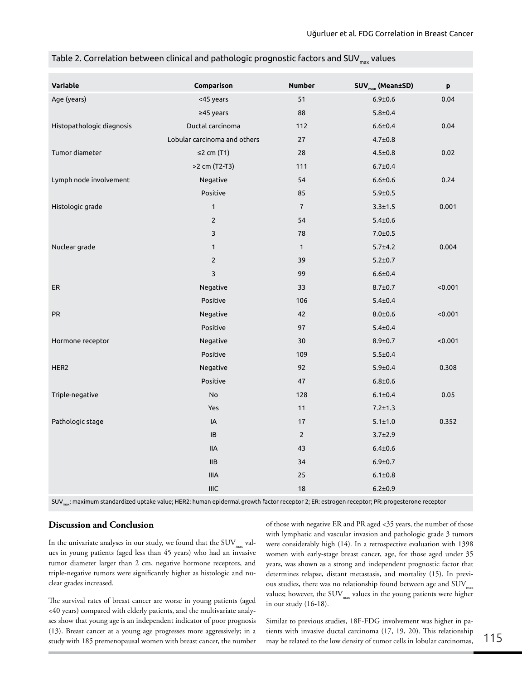| Variable                  | Comparison                                | <b>Number</b>  | SUV <sub>max</sub> (Mean±SD) | p       |
|---------------------------|-------------------------------------------|----------------|------------------------------|---------|
| Age (years)               | <45 years                                 | 51             | $6.9 + 0.6$                  | 0.04    |
|                           | ≥45 years                                 | 88             | $5.8 + 0.4$                  |         |
| Histopathologic diagnosis | Ductal carcinoma                          | 112            | $6.6 + 0.4$                  | 0.04    |
|                           | Lobular carcinoma and others              | 27             | $4.7 \pm 0.8$                |         |
| Tumor diameter            | $\leq$ 2 cm (T1)                          | 28             | $4.5 \pm 0.8$                | 0.02    |
|                           | >2 cm (T2-T3)                             | 111            | $6.7 \pm 0.4$                |         |
| Lymph node involvement    | Negative                                  | 54             | $6.6 + 0.6$                  | 0.24    |
|                           | Positive                                  | 85             | $5.9 \pm 0.5$                |         |
| Histologic grade          | $\mathbf{1}$                              | $\overline{7}$ | $3.3 \pm 1.5$                | 0.001   |
|                           | $\overline{2}$                            | 54             | $5.4 + 0.6$                  |         |
|                           | 3                                         | 78             | $7.0 + 0.5$                  |         |
| Nuclear grade             | $\mathbf{1}$                              | $\mathbf{1}$   | $5.7 \pm 4.2$                | 0.004   |
|                           | $\overline{2}$                            | 39             | $5.2 \pm 0.7$                |         |
|                           | 3                                         | 99             | $6.6 + 0.4$                  |         |
| ER                        | Negative                                  | 33             | $8.7 \pm 0.7$                | < 0.001 |
|                           | Positive                                  | 106            | $5.4 \pm 0.4$                |         |
| PR                        | Negative                                  | 42             | $8.0 + 0.6$                  | < 0.001 |
|                           | Positive                                  | 97             | $5.4 \pm 0.4$                |         |
| Hormone receptor          | Negative                                  | 30             | $8.9 \pm 0.7$                | < 0.001 |
|                           | Positive                                  | 109            | $5.5 \pm 0.4$                |         |
| HER2                      | Negative                                  | 92             | $5.9 \pm 0.4$                | 0.308   |
|                           | Positive                                  | 47             | $6.8 + 0.6$                  |         |
| Triple-negative           | No                                        | 128            | $6.1 \pm 0.4$                | 0.05    |
|                           | Yes                                       | 11             | $7.2 \pm 1.3$                |         |
| Pathologic stage          | IA                                        | 17             | $5.1 \pm 1.0$                | 0.352   |
|                           | IB                                        | $2^{\circ}$    | $3.7 \pm 2.9$                |         |
|                           | <b>IIA</b>                                | 43             | $6.4 + 0.6$                  |         |
|                           | <b>IIB</b>                                | 34             | $6.9 + 0.7$                  |         |
|                           | <b>IIIA</b>                               | 25             | $6.1 \pm 0.8$                |         |
|                           | $\ensuremath{\mathsf{I\!I\!I}\mathsf{C}}$ | 18             | $6.2 \pm 0.9$                |         |
|                           |                                           |                |                              |         |

| Table 2. Correlation between clinical and pathologic prognostic factors and SUV $_{\text{max}}$ values |  |  |  |  |  |
|--------------------------------------------------------------------------------------------------------|--|--|--|--|--|
|--------------------------------------------------------------------------------------------------------|--|--|--|--|--|

SUV<sub>max</sub>: maximum standardized uptake value; HER2: human epidermal growth factor receptor 2; ER: estrogen receptor; PR: progesterone receptor

## **Discussion and Conclusion**

In the univariate analyses in our study, we found that the  $\text{SUV}_{\text{max}}$  values in young patients (aged less than 45 years) who had an invasive tumor diameter larger than 2 cm, negative hormone receptors, and triple-negative tumors were significantly higher as histologic and nuclear grades increased.

The survival rates of breast cancer are worse in young patients (aged <40 years) compared with elderly patients, and the multivariate analyses show that young age is an independent indicator of poor prognosis (13). Breast cancer at a young age progresses more aggressively; in a study with 185 premenopausal women with breast cancer, the number

of those with negative ER and PR aged <35 years, the number of those with lymphatic and vascular invasion and pathologic grade 3 tumors were considerably high (14). In a retrospective evaluation with 1398 women with early-stage breast cancer, age, for those aged under 35 years, was shown as a strong and independent prognostic factor that determines relapse, distant metastasis, and mortality (15). In previous studies, there was no relationship found between age and  $\text{SUV}_{\text{max}}$ values; however, the  $\mathrm{SUV}_\mathrm{max}$  values in the young patients were higher in our study (16-18).

Similar to previous studies, 18F-FDG involvement was higher in patients with invasive ductal carcinoma (17, 19, 20). This relationship may be related to the low density of tumor cells in lobular carcinomas,  $115$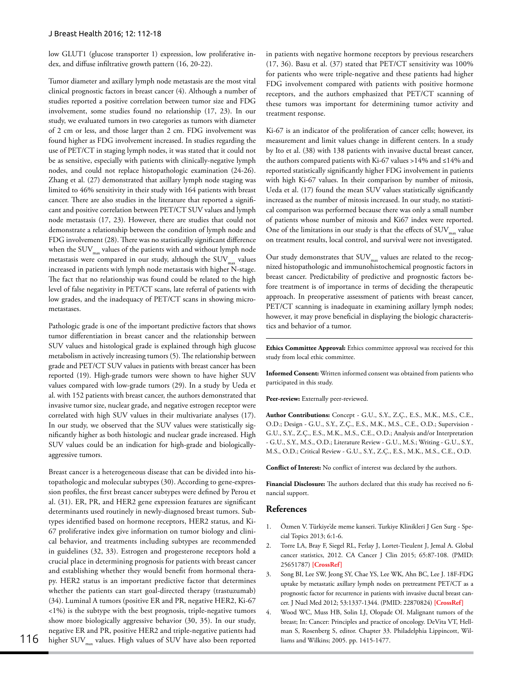low GLUT1 (glucose transporter 1) expression, low proliferative index, and diffuse infiltrative growth pattern (16, 20-22).

Tumor diameter and axillary lymph node metastasis are the most vital clinical prognostic factors in breast cancer (4). Although a number of studies reported a positive correlation between tumor size and FDG involvement, some studies found no relationship (17, 23). In our study, we evaluated tumors in two categories as tumors with diameter of 2 cm or less, and those larger than 2 cm. FDG involvement was found higher as FDG involvement increased. In studies regarding the use of PET/CT in staging lymph nodes, it was stated that it could not be as sensitive, especially with patients with clinically-negative lymph nodes, and could not replace histopathologic examination (24-26). Zhang et al. (27) demonstrated that axillary lymph node staging was limited to 46% sensitivity in their study with 164 patients with breast cancer. There are also studies in the literature that reported a significant and positive correlation between PET/CT SUV values and lymph node metastasis (17, 23). However, there are studies that could not demonstrate a relationship between the condition of lymph node and FDG involvement (28). There was no statistically significant difference when the  $\text{SUV}_{\text{max}}$  values of the patients with and without lymph node metastasis were compared in our study, although the  $\text{SUV}_\text{max}$  values increased in patients with lymph node metastasis with higher N-stage. The fact that no relationship was found could be related to the high level of false negativity in PET/CT scans, late referral of patients with low grades, and the inadequacy of PET/CT scans in showing micrometastases.

Pathologic grade is one of the important predictive factors that shows tumor differentiation in breast cancer and the relationship between SUV values and histological grade is explained through high glucose metabolism in actively increasing tumors (5). The relationship between grade and PET/CT SUV values in patients with breast cancer has been reported (19). High-grade tumors were shown to have higher SUV values compared with low-grade tumors (29). In a study by Ueda et al. with 152 patients with breast cancer, the authors demonstrated that invasive tumor size, nuclear grade, and negative estrogen receptor were correlated with high SUV values in their multivariate analyses (17). In our study, we observed that the SUV values were statistically significantly higher as both histologic and nuclear grade increased. High SUV values could be an indication for high-grade and biologicallyaggressive tumors.

Breast cancer is a heterogeneous disease that can be divided into histopathologic and molecular subtypes (30). According to gene-expression profiles, the first breast cancer subtypes were defined by Perou et al. (31). ER, PR, and HER2 gene expression features are significant determinants used routinely in newly-diagnosed breast tumors. Subtypes identified based on hormone receptors, HER2 status, and Ki-67 proliferative index give information on tumor biology and clinical behavior, and treatments including subtypes are recommended in guidelines (32, 33). Estrogen and progesterone receptors hold a crucial place in determining prognosis for patients with breast cancer and establishing whether they would benefit from hormonal therapy. HER2 status is an important predictive factor that determines whether the patients can start goal-directed therapy (trastuzumab) (34). Luminal A tumors (positive ER and PR, negative HER2, Ki-67 <1%) is the subtype with the best prognosis, triple-negative tumors show more biologically aggressive behavior (30, 35). In our study, negative ER and PR, positive HER2 and triple-negative patients had 116 higher SUV<sub>max</sub> values. High values of SUV have also been reported liams and Wilkins; 2005. pp. 1415-1477.

in patients with negative hormone receptors by previous researchers (17, 36). Basu et al. (37) stated that PET/CT sensitivity was 100% for patients who were triple-negative and these patients had higher FDG involvement compared with patients with positive hormone receptors, and the authors emphasized that PET/CT scanning of these tumors was important for determining tumor activity and treatment response.

Ki-67 is an indicator of the proliferation of cancer cells; however, its measurement and limit values change in different centers. In a study by Ito et al. (38) with 138 patients with invasive ductal breast cancer, the authors compared patients with Ki-67 values >14% and ≤14% and reported statistically significantly higher FDG involvement in patients with high Ki-67 values. In their comparison by number of mitosis, Ueda et al. (17) found the mean SUV values statistically significantly increased as the number of mitosis increased. In our study, no statistical comparison was performed because there was only a small number of patients whose number of mitosis and Ki67 index were reported. One of the limitations in our study is that the effects of  $\mathrm{SUV}_\mathrm{max}$  value on treatment results, local control, and survival were not investigated.

Our study demonstrates that  $\text{SUV}_{\text{max}}$  values are related to the recognized histopathologic and immunohistochemical prognostic factors in breast cancer. Predictability of predictive and prognostic factors before treatment is of importance in terms of deciding the therapeutic approach. In preoperative assessment of patients with breast cancer, PET/CT scanning is inadequate in examining axillary lymph nodes; however, it may prove beneficial in displaying the biologic characteristics and behavior of a tumor.

**Ethics Committee Approval:** Ethics committee approval was received for this study from local ethic committee.

**Informed Consent:** Written informed consent was obtained from patients who participated in this study.

Peer-review: Externally peer-reviewed.

**Author Contributions:** Concept - G.U., S.Y., Z.Ç., E.S., M.K., M.S., C.E., O.D.; Design - G.U., S.Y., Z.Ç., E.S., M.K., M.S., C.E., O.D.; Supervision - G.U., S.Y., Z.Ç., E.S., M.K., M.S., C.E., O.D.; Analysis and/or Interpretation - G.U., S.Y., M.S., O.D.; Literature Review - G.U., M.S.; Writing - G.U., S.Y., M.S., O.D.; Critical Review - G.U., S.Y., Z.Ç., E.S., M.K., M.S., C.E., O.D.

**Conflict of Interest:** No conflict of interest was declared by the authors.

**Financial Disclosure:** The authors declared that this study has received no financial support.

#### **References**

- 1. Özmen V. Türkiye'de meme kanseri. Turkiye Klinikleri J Gen Surg Special Topics 2013; 6:1-6.
- 2. Torre LA, Bray F, Siegel RL, Ferlay J, Lortet-Tieulent J, Jemal A. Global cancer statistics, 2012. CA Cancer J Clin 2015; 65:87-108. (PMID: 25651787) **[CrossRef]**
- 3. Song BI, Lee SW, Jeong SY, Chae YS, Lee WK, Ahn BC, Lee J. 18F-FDG uptake by metastatic axillary lymph nodes on pretreatment PET/CT as a prognostic factor for recurrence in patients with invasive ductal breast cancer. J Nucl Med 2012; 53:1337-1344. (PMID: 22870824) **[CrossRef]**
- 4. Wood WC, Muss HB, Solin LJ, Olopade OI. Malignant tumors of the breast; In: Cancer: Principles and practice of oncology. DeVita VT, Hellman S, Rosenberg S, editor. Chapter 33. Philadelphia Lippincott, Wil-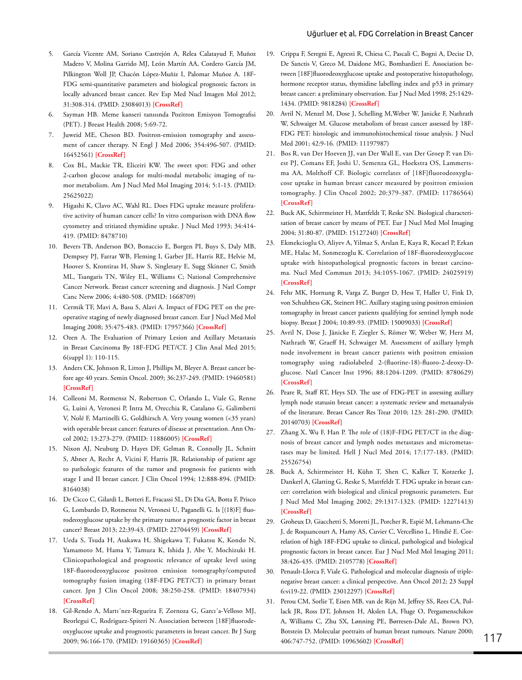- 5. García Vicente AM, Soriano Castrejón A, Relea Calatayud F, Muñoz Madero V, Molina Garrido MJ, León Martín AA, Cordero García JM, Pilkington Woll JP, Chacón López-Muñiz I, Palomar Muñoz A. 18F-FDG semi-quantitative parameters and biological prognostic factors in locally advanced breast cancer. Rev Esp Med Nucl Imagen Mol 2012; 31:308-314. (PMID: 23084013) **[CrossRef]**
- 6. Sayman HB. Meme kanseri tanısında Pozitron Emisyon Tomografisi (PET). J Breast Health 2008; 5:69-72.
- 7. Juweid ME, Cheson BD. Positron-emission tomography and assessment of cancer therapy. N Engl J Med 2006; 354:496-507. (PMID: 16452561) **[CrossRef]**
- 8. Cox BL, Mackie TR, Eliceiri KW. The sweet spot: FDG and other 2-carbon glucose analogs for multi-modal metabolic imaging of tumor metabolism. Am J Nucl Med Mol Imaging 2014; 5:1-13. (PMID: 25625022)
- 9. Higashi K, Clavo AC, Wahl RL. Does FDG uptake measure proliferative activity of human cancer cells? In vitro comparison with DNA flow cytometry and tritiated thymidine uptake. J Nucl Med 1993; 34:414- 419. (PMID: 8478710)
- 10. Bevers TB, Anderson BO, Bonaccio E, Borgen PI, Buys S, Daly MB, Dempsey PJ, Farrar WB, Fleming I, Garber JE, Harris RE, Helvie M, Hoover S, Krontiras H, Shaw S, Singletary E, Sugg Skinner C, Smith ML, Tsangaris TN, Wiley EL, Williams C; National Comprehensive Cancer Network. Breast cancer screening and diagnosis. J Natl Compr Canc Netw 2006; 4:480-508. (PMID: 1668709)
- 11. Cermik TF, Mavi A, Basu S, Alavi A. Impact of FDG PET on the preoperative staging of newly diagnosed breast cancer. Eur J Nucl Med Mol Imaging 2008; 35:475-483. (PMID: 17957366) **[CrossRef]**
- 12. Ozen A. The Evaluation of Primary Lesion and Axillary Metastasis in Breast Carcinoma By 18F-FDG PET/CT. J Clin Anal Med 2015; 6(suppl 1): 110-115.
- 13. Anders CK, Johnson R, Litton J, Phillips M, Bleyer A. Breast cancer before age 40 years. Semin Oncol. 2009; 36:237-249. (PMID: 19460581) **[CrossRef]**
- 14. Colleoni M, Rotmensz N, Robertson C, Orlando L, Viale G, Renne G, Luini A, Veronesi P, Intra M, Orecchia R, Catalano G, Galimberti V, Nolé F, Martinelli G, Goldhirsch A. Very young women (<35 years) with operable breast cancer: features of disease at presentation. Ann Oncol 2002; 13:273-279. (PMID: 11886005) **[CrossRef]**
- 15. Nixon AJ, Neuburg D, Hayes DF, Gelman R, Connolly JL, Schnitt S, Abner A, Recht A, Vicini F, Harris JR. Relationship of patient age to pathologic features of the tumor and prognosis for patients with stage I and II breast cancer. J Clin Oncol 1994; 12:888-894. (PMID: 8164038)
- 16. De Cicco C, Gilardi L, Botteri E, Fracassi SL, Di Dia GA, Botta F, Prisco G, Lombardo D, Rotmensz N, Veronesi U, Paganelli G. Is [(18)F] fluorodeoxyglucose uptake by the primary tumor a prognostic factor in breast cancer? Breast 2013; 22:39-43. (PMID: 22704459) **[CrossRef]**
- 17. Ueda S, Tsuda H, Asakawa H, Shigekawa T, Fukatsu K, Kondo N, Yamamoto M, Hama Y, Tamura K, Ishida J, Abe Y, Mochizuki H. Clinicopathological and prognostic relevance of uptake level using 18F-fluorodeoxyglucose positron emission tomography/computed tomography fusion imaging (18F-FDG PET/CT) in primary breast cancer. Jpn J Clin Oncol 2008; 38:250-258. (PMID: 18407934) **[CrossRef ]**
- 18. Gil-Rendo A, Martı´nez-Regueira F, Zornoza G, Garcı´a-Velloso MJ, Beorlegui C, Rodriguez-Spiteri N. Association between [18F]fluorodeoxyglucose uptake and prognostic parameters in breast cancer. Br J Surg 2009; 96:166-170. (PMID: 19160365) **[CrossRef]**
- 19. Crippa F, Seregni E, Agresti R, Chiesa C, Pascali C, Bogni A, Decise D, De Sanctis V, Greco M, Daidone MG, Bombardieri E. Association between [18F]fluorodeoxyglucose uptake and postoperative histopathology, hormone receptor status, thymidine labelling index and p53 in primary breast cancer: a preliminary observation. Eur J Nucl Med 1998; 25:1429- 1434. (PMID: 9818284) **[CrossRef]**
- 20. Avril N, Menzel M, Dose J, Schelling M,Weber W, Janicke F, Nathrath W, Schwaiger M. Glucose metabolism of breast cancer assessed by 18F-FDG PET: histologic and immunohistochemical tissue analysis. J Nucl Med 2001; 42:9-16. (PMID: 11197987)
- 21. Bos R, van Der Hoeven JJ, van Der Wall E, van Der Groep P, van Diest PJ, Comans EF, Joshi U, Semenza GL, Hoekstra OS, Lammertsma AA, Molthoff CF. Biologic correlates of [18F]fluorodeoxyglucose uptake in human breast cancer measured by positron emission tomography. J Clin Oncol 2002; 20:379-387. (PMID: 11786564) **[CrossRef ]**
- 22. Buck AK, Schirrmeister H, Mattfeldt T, Reske SN. Biological characterisation of breast cancer by means of PET. Eur J Nucl Med Mol Imaging 2004; 31:80-87. (PMID: 15127240) **[CrossRef]**
- 23. Ekmekcioglu O, Aliyev A, Yilmaz S, Arslan E, Kaya R, Kocael P, Erkan ME, Halac M, Sonmezoglu K. Correlation of 18F-fluorodeoxyglucose uptake with histopathological prognostic factors in breast carcinoma. Nucl Med Commun 2013; 34:1055-1067. (PMID: 24025919) **[CrossRef ]**
- 24. Fehr MK, Hornung R, Varga Z, Burger D, Hess T, Haller U, Fink D, von Schulthess GK, Steinert HC. Axillary staging using positron emission tomography in breast cancer patients qualifying for sentinel lymph node biopsy. Breast J 2004; 10:89-93. (PMID: 15009033) **[CrossRef]**
- 25. Avril N, Dose J, Jänicke F, Ziegler S, Römer W, Weber W, Herz M, Nathrath W, Graeff H, Schwaiger M. Assessment of axillary lymph node involvement in breast cancer patients with positron emission tomography using radiolabeled 2-(fluorine-18)-fluoro-2-deoxy-Dglucose. Natl Cancer Inst 1996; 88:1204-1209. (PMID: 8780629) **[CrossRef ]**
- 26. Peare R, Staff RT, Heys SD. The use of FDG-PET in assessing axillary lymph node statusin breast cancer: a systematic review and metaanalysis of the literature. Breast Cancer Res Treat 2010; 123: 281-290. (PMID: 20140703) **[CrossRef]**
- 27. Zhang X, Wu F, Han P. The role of (18)F-FDG PET/CT in the diagnosis of breast cancer and lymph nodes metastases and micrometastases may be limited. Hell J Nucl Med 2014; 17:177-183. (PMID: 25526754)
- 28. Buck A, Schirrmeister H, Kühn T, Shen C, Kalker T, Kotzerke J, Dankerl A, Glatting G, Reske S, Mattfeldt T. FDG uptake in breast cancer: correlation with biological and clinical prognostic parameters. Eur J Nucl Med Mol Imaging 2002; 29:1317-1323. (PMID: 12271413) **[CrossRef]**
- 29. Groheux D, Giacchetti S, Moretti JL, Porcher R, Espié M, Lehmann-Che J, de Roquancourt A, Hamy AS, Cuvier C, Vercellino L, Hindié E. Correlation of high 18F-FDG uptake to clinical, pathological and biological prognostic factors in breast cancer. Eur J Nucl Med Mol Imaging 2011; 38:426-435. (PMID: 2105778) **[CrossRef]**
- 30. Penault-Llorca F, Viale G. Pathological and molecular diagnosis of triplenegative breast cancer: a clinical perspective. Ann Oncol 2012; 23 Suppl 6:vi19-22. (PMID: 23012297) **[CrossRef]**
- 31. Perou CM, Sorlie T, Eisen MB, van de Rijn M, Jeffrey SS, Rees CA, Pollack JR, Ross DT, Johnsen H, Akslen LA, Fluge O, Pergamenschikov A, Williams C, Zhu SX, Lønning PE, Børresen-Dale AL, Brown PO, Botstein D. Molecular portraits of human breast tumours. Nature 2000; 406:747-752. (PMID: 10963602) **[CrossRef]** 117